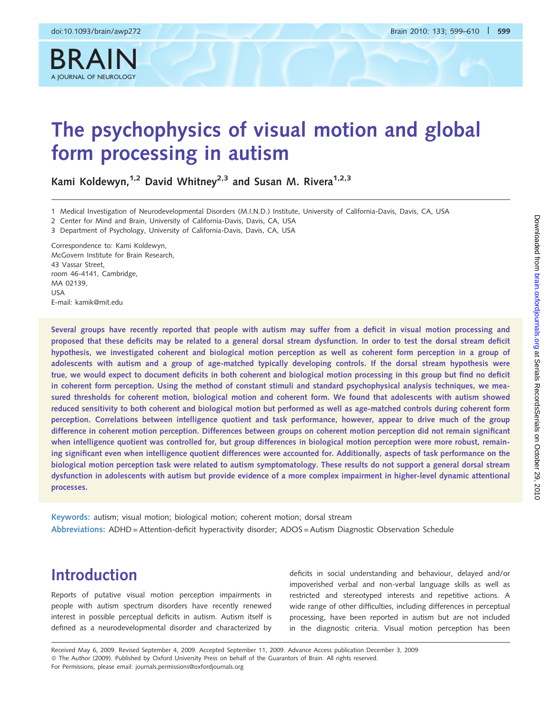BRAIN

# The psychophysics of visual motion and global form processing in autism

Kami Koldewyn,<sup>1,2</sup> David Whitney<sup>2,3</sup> and Susan M. Rivera<sup>1,2,3</sup>

1 Medical Investigation of Neurodevelopmental Disorders (M.I.N.D.) Institute, University of California-Davis, Davis, CA, USA

2 Center for Mind and Brain, University of California-Davis, Davis, CA, USA

3 Department of Psychology, University of California-Davis, Davis, CA, USA

Correspondence to: Kami Koldewyn, McGovern Institute for Brain Research, 43 Vassar Street, room 46-4141, Cambridge, MA 02139, USA E-mail: kamik@mit.edu

Several groups have recently reported that people with autism may suffer from a deficit in visual motion processing and proposed that these deficits may be related to a general dorsal stream dysfunction. In order to test the dorsal stream deficit hypothesis, we investigated coherent and biological motion perception as well as coherent form perception in a group of adolescents with autism and a group of age-matched typically developing controls. If the dorsal stream hypothesis were true, we would expect to document deficits in both coherent and biological motion processing in this group but find no deficit in coherent form perception. Using the method of constant stimuli and standard psychophysical analysis techniques, we measured thresholds for coherent motion, biological motion and coherent form. We found that adolescents with autism showed reduced sensitivity to both coherent and biological motion but performed as well as age-matched controls during coherent form perception. Correlations between intelligence quotient and task performance, however, appear to drive much of the group difference in coherent motion perception. Differences between groups on coherent motion perception did not remain significant when intelligence quotient was controlled for, but group differences in biological motion perception were more robust, remaining significant even when intelligence quotient differences were accounted for. Additionally, aspects of task performance on the biological motion perception task were related to autism symptomatology. These results do not support a general dorsal stream dysfunction in adolescents with autism but provide evidence of a more complex impairment in higher-level dynamic attentional processes.

Keywords: autism; visual motion; biological motion; coherent motion; dorsal stream Abbreviations: ADHD = Attention-deficit hyperactivity disorder; ADOS = Autism Diagnostic Observation Schedule

## Introduction

Reports of putative visual motion perception impairments in people with autism spectrum disorders have recently renewed interest in possible perceptual deficits in autism. Autism itself is defined as a neurodevelopmental disorder and characterized by deficits in social understanding and behaviour, delayed and/or impoverished verbal and non-verbal language skills as well as restricted and stereotyped interests and repetitive actions. A wide range of other difficulties, including differences in perceptual processing, have been reported in autism but are not included in the diagnostic criteria. Visual motion perception has been

Received May 6, 2009. Revised September 4, 2009. Accepted September 11, 2009. Advance Access publication December 3, 2009 - The Author (2009). Published by Oxford University Press on behalf of the Guarantors of Brain. All rights reserved. For Permissions, please email: journals.permissions@oxfordjournals.org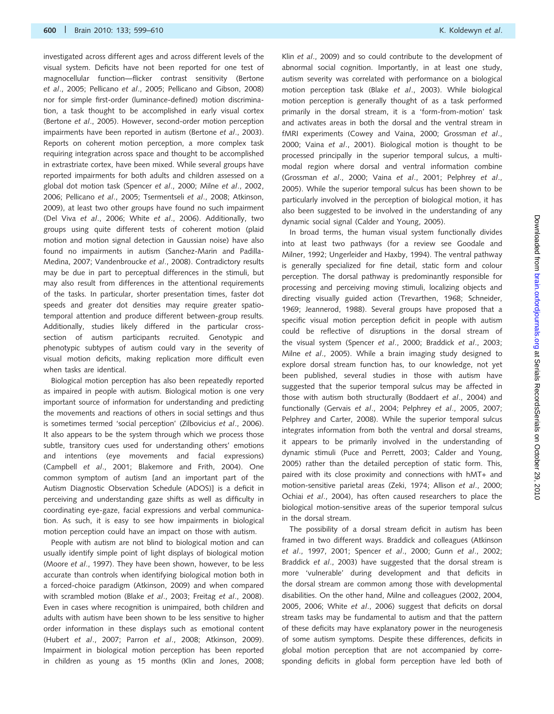investigated across different ages and across different levels of the visual system. Deficits have not been reported for one test of magnocellular function—flicker contrast sensitivity (Bertone et al., 2005; Pellicano et al., 2005; Pellicano and Gibson, 2008) nor for simple first-order (luminance-defined) motion discrimination, a task thought to be accomplished in early visual cortex (Bertone et al., 2005). However, second-order motion perception impairments have been reported in autism (Bertone et al., 2003). Reports on coherent motion perception, a more complex task requiring integration across space and thought to be accomplished in extrastriate cortex, have been mixed. While several groups have reported impairments for both adults and children assessed on a global dot motion task (Spencer et al., 2000; Milne et al., 2002, 2006; Pellicano et al., 2005; Tsermentseli et al., 2008; Atkinson, 2009), at least two other groups have found no such impairment (Del Viva et al., 2006; White et al., 2006). Additionally, two groups using quite different tests of coherent motion (plaid motion and motion signal detection in Gaussian noise) have also found no impairments in autism (Sanchez-Marin and Padilla-Medina, 2007; Vandenbroucke et al., 2008). Contradictory results may be due in part to perceptual differences in the stimuli, but may also result from differences in the attentional requirements of the tasks. In particular, shorter presentation times, faster dot speeds and greater dot densities may require greater spatiotemporal attention and produce different between-group results. Additionally, studies likely differed in the particular crosssection of autism participants recruited. Genotypic and phenotypic subtypes of autism could vary in the severity of visual motion deficits, making replication more difficult even when tasks are identical.

Biological motion perception has also been repeatedly reported as impaired in people with autism. Biological motion is one very important source of information for understanding and predicting the movements and reactions of others in social settings and thus is sometimes termed 'social perception' (Zilbovicius et al., 2006). It also appears to be the system through which we process those subtle, transitory cues used for understanding others' emotions and intentions (eye movements and facial expressions) (Campbell et al., 2001; Blakemore and Frith, 2004). One common symptom of autism [and an important part of the Autism Diagnostic Observation Schedule (ADOS)] is a deficit in perceiving and understanding gaze shifts as well as difficulty in coordinating eye-gaze, facial expressions and verbal communication. As such, it is easy to see how impairments in biological motion perception could have an impact on those with autism.

People with autism are not blind to biological motion and can usually identify simple point of light displays of biological motion (Moore et al., 1997). They have been shown, however, to be less accurate than controls when identifying biological motion both in a forced-choice paradigm (Atkinson, 2009) and when compared with scrambled motion (Blake et al., 2003; Freitag et al., 2008). Even in cases where recognition is unimpaired, both children and adults with autism have been shown to be less sensitive to higher order information in these displays such as emotional content (Hubert et al., 2007; Parron et al., 2008; Atkinson, 2009). Impairment in biological motion perception has been reported in children as young as 15 months (Klin and Jones, 2008;

Klin et al., 2009) and so could contribute to the development of abnormal social cognition. Importantly, in at least one study, autism severity was correlated with performance on a biological motion perception task (Blake et al., 2003). While biological motion perception is generally thought of as a task performed primarily in the dorsal stream, it is a 'form-from-motion' task and activates areas in both the dorsal and the ventral stream in fMRI experiments (Cowey and Vaina, 2000; Grossman et al., 2000; Vaina et al., 2001). Biological motion is thought to be processed principally in the superior temporal sulcus, a multimodal region where dorsal and ventral information combine (Grossman et al., 2000; Vaina et al., 2001; Pelphrey et al., 2005). While the superior temporal sulcus has been shown to be particularly involved in the perception of biological motion, it has also been suggested to be involved in the understanding of any dynamic social signal (Calder and Young, 2005).

In broad terms, the human visual system functionally divides into at least two pathways (for a review see Goodale and Milner, 1992; Ungerleider and Haxby, 1994). The ventral pathway is generally specialized for fine detail, static form and colour perception. The dorsal pathway is predominantly responsible for processing and perceiving moving stimuli, localizing objects and directing visually guided action (Trevarthen, 1968; Schneider, 1969; Jeannerod, 1988). Several groups have proposed that a specific visual motion perception deficit in people with autism could be reflective of disruptions in the dorsal stream of the visual system (Spencer et al., 2000; Braddick et al., 2003; Milne et al., 2005). While a brain imaging study designed to explore dorsal stream function has, to our knowledge, not yet been published, several studies in those with autism have suggested that the superior temporal sulcus may be affected in those with autism both structurally (Boddaert et al., 2004) and functionally (Gervais et al., 2004; Pelphrey et al., 2005, 2007; Pelphrey and Carter, 2008). While the superior temporal sulcus integrates information from both the ventral and dorsal streams, it appears to be primarily involved in the understanding of dynamic stimuli (Puce and Perrett, 2003; Calder and Young, 2005) rather than the detailed perception of static form. This, paired with its close proximity and connections with hMT+ and motion-sensitive parietal areas (Zeki, 1974; Allison et al., 2000; Ochiai et al., 2004), has often caused researchers to place the biological motion-sensitive areas of the superior temporal sulcus in the dorsal stream.

The possibility of a dorsal stream deficit in autism has been framed in two different ways. Braddick and colleagues (Atkinson et al., 1997, 2001; Spencer et al., 2000; Gunn et al., 2002; Braddick et al., 2003) have suggested that the dorsal stream is more 'vulnerable' during development and that deficits in the dorsal stream are common among those with developmental disabilities. On the other hand, Milne and colleagues (2002, 2004, 2005, 2006; White et al., 2006) suggest that deficits on dorsal stream tasks may be fundamental to autism and that the pattern of these deficits may have explanatory power in the neurogenesis of some autism symptoms. Despite these differences, deficits in global motion perception that are not accompanied by corresponding deficits in global form perception have led both of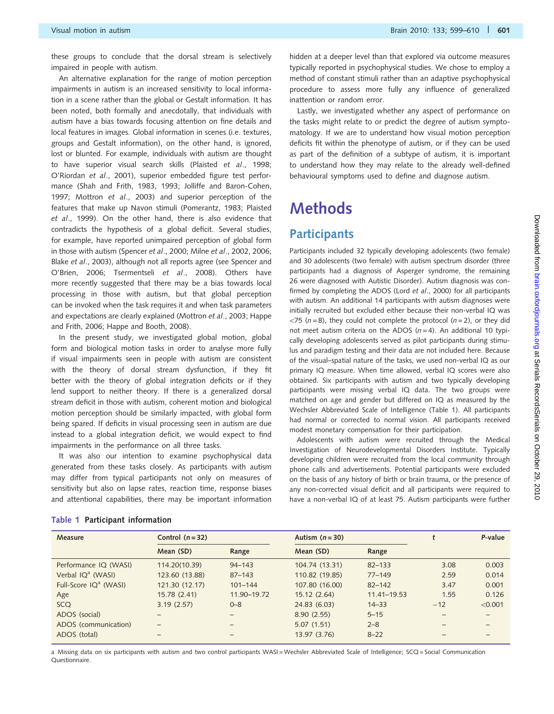these groups to conclude that the dorsal stream is selectively impaired in people with autism.

An alternative explanation for the range of motion perception impairments in autism is an increased sensitivity to local information in a scene rather than the global or Gestalt information. It has been noted, both formally and anecdotally, that individuals with autism have a bias towards focusing attention on fine details and local features in images. Global information in scenes (i.e. textures, groups and Gestalt information), on the other hand, is ignored, lost or blunted. For example, individuals with autism are thought to have superior visual search skills (Plaisted et al., 1998; O'Riordan et al., 2001), superior embedded figure test performance (Shah and Frith, 1983, 1993; Jolliffe and Baron-Cohen, 1997; Mottron et al., 2003) and superior perception of the features that make up Navon stimuli (Pomerantz, 1983; Plaisted et al., 1999). On the other hand, there is also evidence that contradicts the hypothesis of a global deficit. Several studies, for example, have reported unimpaired perception of global form in those with autism (Spencer et al., 2000; Milne et al., 2002, 2006; Blake et al., 2003), although not all reports agree (see Spencer and O'Brien, 2006; Tsermentseli et al., 2008). Others have more recently suggested that there may be a bias towards local processing in those with autism, but that global perception can be invoked when the task requires it and when task parameters and expectations are clearly explained (Mottron et al., 2003; Happe and Frith, 2006; Happe and Booth, 2008).

In the present study, we investigated global motion, global form and biological motion tasks in order to analyse more fully if visual impairments seen in people with autism are consistent with the theory of dorsal stream dysfunction, if they fit better with the theory of global integration deficits or if they lend support to neither theory. If there is a generalized dorsal stream deficit in those with autism, coherent motion and biological motion perception should be similarly impacted, with global form being spared. If deficits in visual processing seen in autism are due instead to a global integration deficit, we would expect to find impairments in the performance on all three tasks.

It was also our intention to examine psychophysical data generated from these tasks closely. As participants with autism may differ from typical participants not only on measures of sensitivity but also on lapse rates, reaction time, response biases and attentional capabilities, there may be important information

#### hidden at a deeper level than that explored via outcome measures typically reported in psychophysical studies. We chose to employ a method of constant stimuli rather than an adaptive psychophysical procedure to assess more fully any influence of generalized inattention or random error.

Lastly, we investigated whether any aspect of performance on the tasks might relate to or predict the degree of autism symptomatology. If we are to understand how visual motion perception deficits fit within the phenotype of autism, or if they can be used as part of the definition of a subtype of autism, it is important to understand how they may relate to the already well-defined behavioural symptoms used to define and diagnose autism.

## Methods

### **Participants**

Participants included 32 typically developing adolescents (two female) and 30 adolescents (two female) with autism spectrum disorder (three participants had a diagnosis of Asperger syndrome, the remaining 26 were diagnosed with Autistic Disorder). Autism diagnosis was confirmed by completing the ADOS (Lord et al., 2000) for all participants with autism. An additional 14 participants with autism diagnoses were initially recruited but excluded either because their non-verbal IQ was  $<$ 75 (n = 8), they could not complete the protocol (n = 2), or they did not meet autism criteria on the ADOS ( $n = 4$ ). An additional 10 typically developing adolescents served as pilot participants during stimulus and paradigm testing and their data are not included here. Because of the visual–spatial nature of the tasks, we used non-verbal IQ as our primary IQ measure. When time allowed, verbal IQ scores were also obtained. Six participants with autism and two typically developing participants were missing verbal IQ data. The two groups were matched on age and gender but differed on IQ as measured by the Wechsler Abbreviated Scale of Intelligence (Table 1). All participants had normal or corrected to normal vision. All participants received modest monetary compensation for their participation.

Adolescents with autism were recruited through the Medical Investigation of Neurodevelopmental Disorders Institute. Typically developing children were recruited from the local community through phone calls and advertisements. Potential participants were excluded on the basis of any history of birth or brain trauma, or the presence of any non-corrected visual deficit and all participants were required to have a non-verbal IQ of at least 75. Autism participants were further

|  |  |  |  | Table 1 Participant information |
|--|--|--|--|---------------------------------|
|--|--|--|--|---------------------------------|

| Measure                 | Control $(n=32)$ |             | Autism $(n=30)$ |                 |                   | P-value |
|-------------------------|------------------|-------------|-----------------|-----------------|-------------------|---------|
|                         | Mean (SD)        | Range       | Mean (SD)       | Range           |                   |         |
| Performance IQ (WASI)   | 114.20(10.39)    | $94 - 143$  | 104.74 (13.31)  | $82 - 133$      | 3.08              | 0.003   |
| Verbal $IQ^a$ (WASI)    | 123.60 (13.88)   | $87 - 143$  | 110.82 (19.85)  | $77 - 149$      | 2.59              | 0.014   |
| Full-Score $IQa$ (WASI) | 121.30 (12.17)   | $101 - 144$ | 107.80 (16.00)  | $82 - 142$      | 3.47              | 0.001   |
| Age                     | 15.78 (2.41)     | 11.90-19.72 | 15.12(2.64)     | $11.41 - 19.53$ | 1.55              | 0.126   |
| <b>SCO</b>              | 3.19(2.57)       | $0 - 8$     | 24.83 (6.03)    | $14 - 33$       | $-12$             | < 0.001 |
| ADOS (social)           |                  |             | 8.90(2.55)      | $5 - 15$        | $\qquad \qquad -$ |         |
| ADOS (communication)    |                  |             | 5.07(1.51)      | $2 - 8$         |                   |         |
| ADOS (total)            |                  |             | 13.97 (3.76)    | $8 - 22$        |                   |         |

a Missing data on six participants with autism and two control participants WASI = Wechsler Abbreviated Scale of Intelligence; SCQ = Social Communication Questionnaire.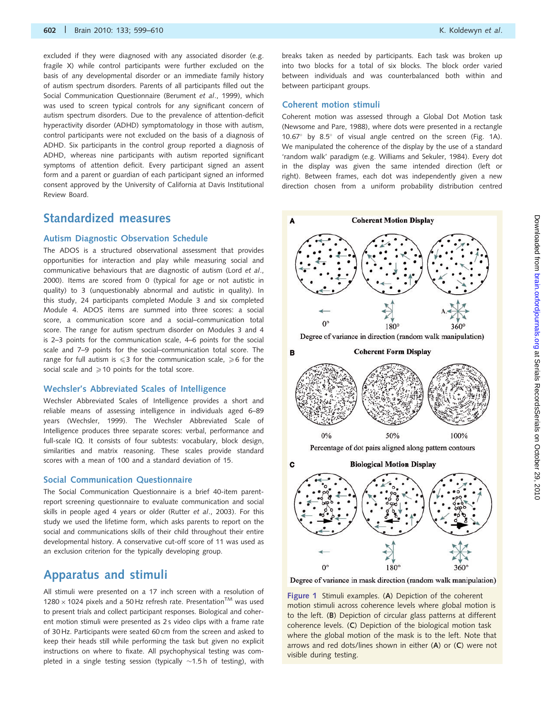excluded if they were diagnosed with any associated disorder (e.g. fragile X) while control participants were further excluded on the basis of any developmental disorder or an immediate family history of autism spectrum disorders. Parents of all participants filled out the Social Communication Questionnaire (Berument et al., 1999), which was used to screen typical controls for any significant concern of autism spectrum disorders. Due to the prevalence of attention-deficit hyperactivity disorder (ADHD) symptomatology in those with autism, control participants were not excluded on the basis of a diagnosis of ADHD. Six participants in the control group reported a diagnosis of ADHD, whereas nine participants with autism reported significant symptoms of attention deficit. Every participant signed an assent form and a parent or guardian of each participant signed an informed consent approved by the University of California at Davis Institutional Review Board.

### Standardized measures

#### Autism Diagnostic Observation Schedule

The ADOS is a structured observational assessment that provides opportunities for interaction and play while measuring social and communicative behaviours that are diagnostic of autism (Lord et al., 2000). Items are scored from 0 (typical for age or not autistic in quality) to 3 (unquestionably abnormal and autistic in quality). In this study, 24 participants completed Module 3 and six completed Module 4. ADOS items are summed into three scores: a social score, a communication score and a social–communication total score. The range for autism spectrum disorder on Modules 3 and 4 is 2–3 points for the communication scale, 4–6 points for the social scale and 7–9 points for the social–communication total score. The range for full autism is  $\leq 3$  for the communication scale,  $\geq 6$  for the social scale and  $\geqslant$  10 points for the total score.

#### Wechsler's Abbreviated Scales of Intelligence

Wechsler Abbreviated Scales of Intelligence provides a short and reliable means of assessing intelligence in individuals aged 6–89 years (Wechsler, 1999). The Wechsler Abbreviated Scale of Intelligence produces three separate scores: verbal, performance and full-scale IQ. It consists of four subtests: vocabulary, block design, similarities and matrix reasoning. These scales provide standard scores with a mean of 100 and a standard deviation of 15.

#### Social Communication Questionnaire

The Social Communication Questionnaire is a brief 40-item parentreport screening questionnaire to evaluate communication and social skills in people aged 4 years or older (Rutter et al., 2003). For this study we used the lifetime form, which asks parents to report on the social and communications skills of their child throughout their entire developmental history. A conservative cut-off score of 11 was used as an exclusion criterion for the typically developing group.

### Apparatus and stimuli

All stimuli were presented on a 17 inch screen with a resolution of  $1280 \times 1024$  pixels and a 50 Hz refresh rate. Presentation<sup>TM</sup> was used to present trials and collect participant responses. Biological and coherent motion stimuli were presented as 2 s video clips with a frame rate of 30 Hz. Participants were seated 60 cm from the screen and asked to keep their heads still while performing the task but given no explicit instructions on where to fixate. All psychophysical testing was completed in a single testing session (typically  $\sim$ 1.5 h of testing), with

breaks taken as needed by participants. Each task was broken up into two blocks for a total of six blocks. The block order varied between individuals and was counterbalanced both within and between participant groups.

#### Coherent motion stimuli

Coherent motion was assessed through a Global Dot Motion task (Newsome and Pare, 1988), where dots were presented in a rectangle 10.67 $^{\circ}$  by 8.5 $^{\circ}$  of visual angle centred on the screen (Fig. 1A). We manipulated the coherence of the display by the use of a standard 'random walk' paradigm (e.g. Williams and Sekuler, 1984). Every dot in the display was given the same intended direction (left or right). Between frames, each dot was independently given a new direction chosen from a uniform probability distribution centred





Figure 1 Stimuli examples. (A) Depiction of the coherent motion stimuli across coherence levels where global motion is to the left. (B) Depiction of circular glass patterns at different coherence levels. (C) Depiction of the biological motion task where the global motion of the mask is to the left. Note that arrows and red dots/lines shown in either (A) or (C) were not visible during testing.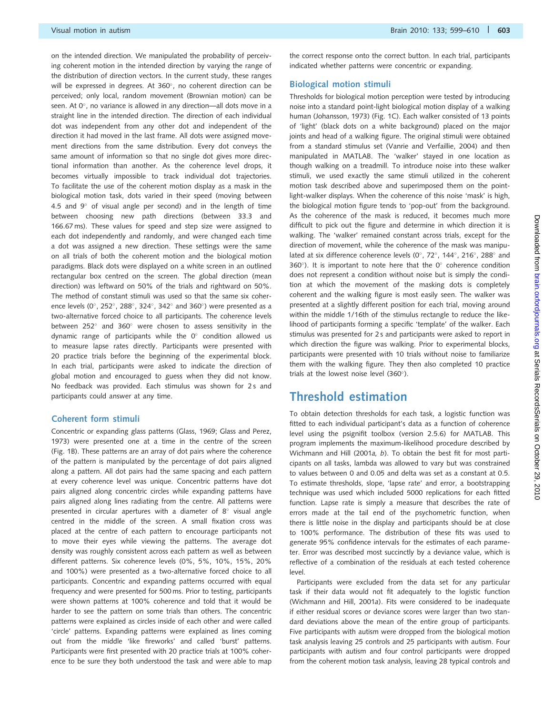on the intended direction. We manipulated the probability of perceiving coherent motion in the intended direction by varying the range of the distribution of direction vectors. In the current study, these ranges will be expressed in degrees. At  $360^\circ$ , no coherent direction can be perceived; only local, random movement (Brownian motion) can be seen. At 0°, no variance is allowed in any direction—all dots move in a straight line in the intended direction. The direction of each individual dot was independent from any other dot and independent of the direction it had moved in the last frame. All dots were assigned movement directions from the same distribution. Every dot conveys the same amount of information so that no single dot gives more directional information than another. As the coherence level drops, it becomes virtually impossible to track individual dot trajectories. To facilitate the use of the coherent motion display as a mask in the biological motion task, dots varied in their speed (moving between 4.5 and  $9^{\circ}$  of visual angle per second) and in the length of time between choosing new path directions (between 33.3 and 166.67 ms). These values for speed and step size were assigned to each dot independently and randomly, and were changed each time a dot was assigned a new direction. These settings were the same on all trials of both the coherent motion and the biological motion paradigms. Black dots were displayed on a white screen in an outlined rectangular box centred on the screen. The global direction (mean direction) was leftward on 50% of the trials and rightward on 50%. The method of constant stimuli was used so that the same six coherence levels (0°, 252°, 288°, 324°, 342° and 360°) were presented as a two-alternative forced choice to all participants. The coherence levels between 252° and 360° were chosen to assess sensitivity in the dynamic range of participants while the  $0^{\circ}$  condition allowed us to measure lapse rates directly. Participants were presented with 20 practice trials before the beginning of the experimental block. In each trial, participants were asked to indicate the direction of global motion and encouraged to guess when they did not know. No feedback was provided. Each stimulus was shown for 2s and participants could answer at any time.

#### Coherent form stimuli

Concentric or expanding glass patterns (Glass, 1969; Glass and Perez, 1973) were presented one at a time in the centre of the screen (Fig. 1B). These patterns are an array of dot pairs where the coherence of the pattern is manipulated by the percentage of dot pairs aligned along a pattern. All dot pairs had the same spacing and each pattern at every coherence level was unique. Concentric patterns have dot pairs aligned along concentric circles while expanding patterns have pairs aligned along lines radiating from the centre. All patterns were presented in circular apertures with a diameter of  $8^\circ$  visual angle centred in the middle of the screen. A small fixation cross was placed at the centre of each pattern to encourage participants not to move their eyes while viewing the patterns. The average dot density was roughly consistent across each pattern as well as between different patterns. Six coherence levels (0%, 5%, 10%, 15%, 20% and 100%) were presented as a two-alternative forced choice to all participants. Concentric and expanding patterns occurred with equal frequency and were presented for 500 ms. Prior to testing, participants were shown patterns at 100% coherence and told that it would be harder to see the pattern on some trials than others. The concentric patterns were explained as circles inside of each other and were called 'circle' patterns. Expanding patterns were explained as lines coming out from the middle 'like fireworks' and called 'burst' patterns. Participants were first presented with 20 practice trials at 100% coherence to be sure they both understood the task and were able to map the correct response onto the correct button. In each trial, participants indicated whether patterns were concentric or expanding.

#### Biological motion stimuli

Thresholds for biological motion perception were tested by introducing noise into a standard point-light biological motion display of a walking human (Johansson, 1973) (Fig. 1C). Each walker consisted of 13 points of 'light' (black dots on a white background) placed on the major joints and head of a walking figure. The original stimuli were obtained from a standard stimulus set (Vanrie and Verfaillie, 2004) and then manipulated in MATLAB. The 'walker' stayed in one location as though walking on a treadmill. To introduce noise into these walker stimuli, we used exactly the same stimuli utilized in the coherent motion task described above and superimposed them on the pointlight-walker displays. When the coherence of this noise 'mask' is high, the biological motion figure tends to 'pop-out' from the background. As the coherence of the mask is reduced, it becomes much more difficult to pick out the figure and determine in which direction it is walking. The 'walker' remained constant across trials, except for the direction of movement, while the coherence of the mask was manipulated at six difference coherence levels ( $0^\circ$ ,  $72^\circ$ ,  $144^\circ$ ,  $216^\circ$ ,  $288^\circ$  and 360 $\degree$ ). It is important to note here that the 0 $\degree$  coherence condition does not represent a condition without noise but is simply the condition at which the movement of the masking dots is completely coherent and the walking figure is most easily seen. The walker was presented at a slightly different position for each trial, moving around within the middle 1/16th of the stimulus rectangle to reduce the likelihood of participants forming a specific 'template' of the walker. Each stimulus was presented for 2 s and participants were asked to report in which direction the figure was walking. Prior to experimental blocks, participants were presented with 10 trials without noise to familiarize them with the walking figure. They then also completed 10 practice trials at the lowest noise level (360°).

### Threshold estimation

To obtain detection thresholds for each task, a logistic function was fitted to each individual participant's data as a function of coherence level using the psignifit toolbox (version 2.5.6) for MATLAB. This program implements the maximum-likelihood procedure described by Wichmann and Hill (2001a, b). To obtain the best fit for most participants on all tasks, lambda was allowed to vary but was constrained to values between 0 and 0.05 and delta was set as a constant at 0.5. To estimate thresholds, slope, 'lapse rate' and error, a bootstrapping technique was used which included 5000 replications for each fitted function. Lapse rate is simply a measure that describes the rate of errors made at the tail end of the psychometric function, when there is little noise in the display and participants should be at close to 100% performance. The distribution of these fits was used to generate 95% confidence intervals for the estimates of each parameter. Error was described most succinctly by a deviance value, which is reflective of a combination of the residuals at each tested coherence level.

Participants were excluded from the data set for any particular task if their data would not fit adequately to the logistic function (Wichmann and Hill, 2001a). Fits were considered to be inadequate if either residual scores or deviance scores were larger than two standard deviations above the mean of the entire group of participants. Five participants with autism were dropped from the biological motion task analysis leaving 25 controls and 25 participants with autism. Four participants with autism and four control participants were dropped from the coherent motion task analysis, leaving 28 typical controls and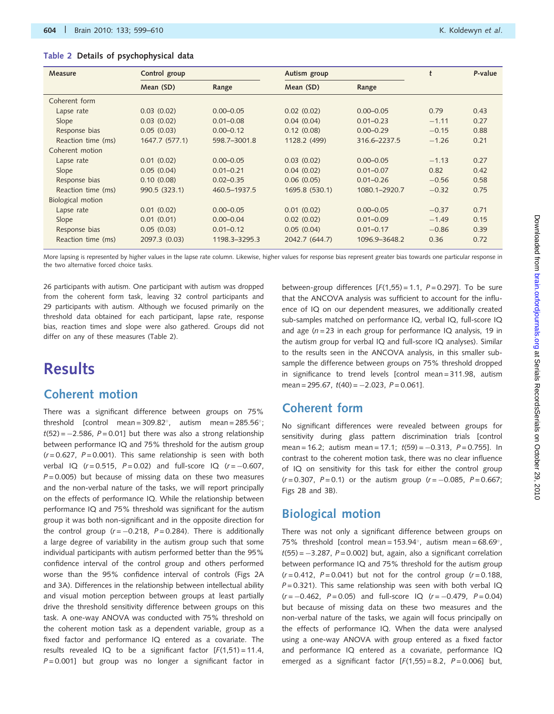|  |  |  | Table 2 Details of psychophysical data |  |  |  |  |  |  |
|--|--|--|----------------------------------------|--|--|--|--|--|--|
|--|--|--|----------------------------------------|--|--|--|--|--|--|

| Measure                  | Control group  |               | Autism group   |               | t       | P-value |  |
|--------------------------|----------------|---------------|----------------|---------------|---------|---------|--|
|                          | Mean (SD)      | Range         | Mean (SD)      | Range         |         |         |  |
| Coherent form            |                |               |                |               |         |         |  |
| Lapse rate               | 0.03(0.02)     | $0.00 - 0.05$ | 0.02(0.02)     | $0.00 - 0.05$ | 0.79    | 0.43    |  |
| Slope                    | 0.03(0.02)     | $0.01 - 0.08$ | 0.04(0.04)     | $0.01 - 0.23$ | $-1.11$ | 0.27    |  |
| Response bias            | 0.05(0.03)     | $0.00 - 0.12$ | 0.12(0.08)     | $0.00 - 0.29$ | $-0.15$ | 0.88    |  |
| Reaction time (ms)       | 1647.7 (577.1) | 598.7-3001.8  | 1128.2 (499)   | 316.6-2237.5  | $-1.26$ | 0.21    |  |
| Coherent motion          |                |               |                |               |         |         |  |
| Lapse rate               | 0.01(0.02)     | $0.00 - 0.05$ | 0.03(0.02)     | $0.00 - 0.05$ | $-1.13$ | 0.27    |  |
| Slope                    | 0.05(0.04)     | $0.01 - 0.21$ | 0.04(0.02)     | $0.01 - 0.07$ | 0.82    | 0.42    |  |
| Response bias            | 0.10(0.08)     | $0.02 - 0.35$ | 0.06(0.05)     | $0.01 - 0.26$ | $-0.56$ | 0.58    |  |
| Reaction time (ms)       | 990.5 (323.1)  | 460.5-1937.5  | 1695.8 (530.1) | 1080.1-2920.7 | $-0.32$ | 0.75    |  |
| <b>Biological motion</b> |                |               |                |               |         |         |  |
| Lapse rate               | 0.01(0.02)     | $0.00 - 0.05$ | 0.01(0.02)     | $0.00 - 0.05$ | $-0.37$ | 0.71    |  |
| Slope                    | 0.01(0.01)     | $0.00 - 0.04$ | 0.02(0.02)     | $0.01 - 0.09$ | $-1.49$ | 0.15    |  |
| Response bias            | 0.05(0.03)     | $0.01 - 0.12$ | 0.05(0.04)     | $0.01 - 0.17$ | $-0.86$ | 0.39    |  |
| Reaction time (ms)       | 2097.3 (0.03)  | 1198.3-3295.3 | 2042.7 (644.7) | 1096.9-3648.2 | 0.36    | 0.72    |  |

More lapsing is represented by higher values in the lapse rate column. Likewise, higher values for response bias represent greater bias towards one particular response in the two alternative forced choice tasks.

26 participants with autism. One participant with autism was dropped from the coherent form task, leaving 32 control participants and 29 participants with autism. Although we focused primarily on the threshold data obtained for each participant, lapse rate, response bias, reaction times and slope were also gathered. Groups did not differ on any of these measures (Table 2).

## **Results**

### Coherent motion

There was a significant difference between groups on 75% threshold [control mean = 309.82 $^{\circ}$ , autism mean = 285.56 $^{\circ}$ ;  $t(52) = -2.586$ ,  $P = 0.01$ ] but there was also a strong relationship between performance IQ and 75% threshold for the autism group  $(r = 0.627, P = 0.001)$ . This same relationship is seen with both verbal IQ  $(r = 0.515, P = 0.02)$  and full-score IQ  $(r = -0.607, P = 0.607)$  $P = 0.005$ ) but because of missing data on these two measures and the non-verbal nature of the tasks, we will report principally on the effects of performance IQ. While the relationship between performance IQ and 75% threshold was significant for the autism group it was both non-significant and in the opposite direction for the control group  $(r = -0.218, P = 0.284)$ . There is additionally a large degree of variability in the autism group such that some individual participants with autism performed better than the 95% confidence interval of the control group and others performed worse than the 95% confidence interval of controls (Figs 2A and 3A). Differences in the relationship between intellectual ability and visual motion perception between groups at least partially drive the threshold sensitivity difference between groups on this task. A one-way ANOVA was conducted with 75% threshold on the coherent motion task as a dependent variable, group as a fixed factor and performance IQ entered as a covariate. The results revealed IQ to be a significant factor  $[F(1,51) = 11.4]$ ,  $P = 0.001$ ] but group was no longer a significant factor in

between-group differences  $[F(1,55) = 1.1, P = 0.297]$ . To be sure that the ANCOVA analysis was sufficient to account for the influence of IQ on our dependent measures, we additionally created sub-samples matched on performance IQ, verbal IQ, full-score IQ and age ( $n = 23$  in each group for performance IQ analysis, 19 in the autism group for verbal IQ and full-score IQ analyses). Similar to the results seen in the ANCOVA analysis, in this smaller subsample the difference between groups on 75% threshold dropped in significance to trend levels [control mean = 311.98, autism mean = 295.67,  $t(40) = -2.023$ ,  $P = 0.061$ ].

### Coherent form

No significant differences were revealed between groups for sensitivity during glass pattern discrimination trials [control mean = 16.2; autism mean = 17.1;  $t(59) = -0.313$ ,  $P = 0.755$ ]. In contrast to the coherent motion task, there was no clear influence of IQ on sensitivity for this task for either the control group  $(r = 0.307, P = 0.1)$  or the autism group  $(r = -0.085, P = 0.667;$ Figs 2B and 3B).

### Biological motion

There was not only a significant difference between groups on 75% threshold [control mean = 153.94°, autism mean =  $68.69^{\circ}$ ,  $t(55) = -3.287$ ,  $P = 0.002$ ] but, again, also a significant correlation between performance IQ and 75% threshold for the autism group  $(r=0.412, P=0.041)$  but not for the control group  $(r=0.188, P=0.041)$  $P = 0.321$ ). This same relationship was seen with both verbal IQ  $(r = -0.462, P = 0.05)$  and full-score IQ  $(r = -0.479, P = 0.04)$ but because of missing data on these two measures and the non-verbal nature of the tasks, we again will focus principally on the effects of performance IQ. When the data were analysed using a one-way ANOVA with group entered as a fixed factor and performance IQ entered as a covariate, performance IQ emerged as a significant factor  $[F(1,55) = 8.2, P = 0.006]$  but,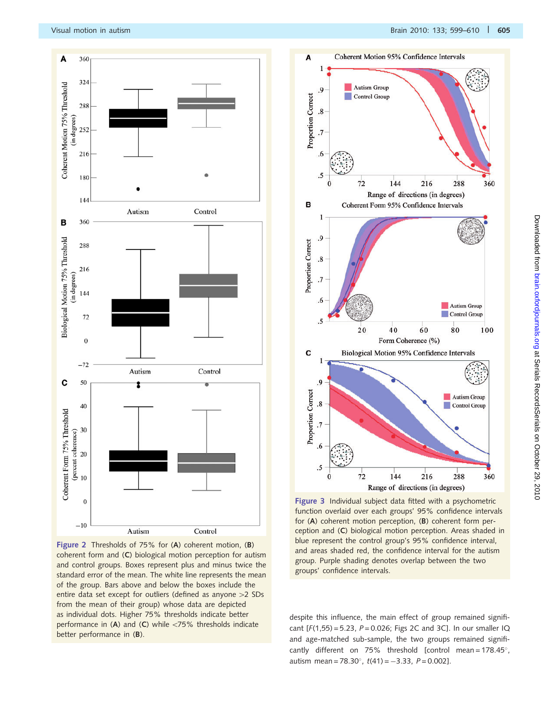

Figure 2 Thresholds of 75% for (A) coherent motion, (B) coherent form and (C) biological motion perception for autism and control groups. Boxes represent plus and minus twice the standard error of the mean. The white line represents the mean of the group. Bars above and below the boxes include the entire data set except for outliers (defined as anyone  $>2$  SDs from the mean of their group) whose data are depicted as individual dots. Higher 75% thresholds indicate better performance in  $(A)$  and  $(C)$  while  $<$ 75% thresholds indicate better performance in (B).



Figure 3 Individual subject data fitted with a psychometric function overlaid over each groups' 95% confidence intervals for (A) coherent motion perception, (B) coherent form perception and (C) biological motion perception. Areas shaded in blue represent the control group's 95% confidence interval, and areas shaded red, the confidence interval for the autism group. Purple shading denotes overlap between the two groups' confidence intervals.

despite this influence, the main effect of group remained significant  $[F(1,55) = 5.23, P = 0.026;$  Figs 2C and 3C]. In our smaller IQ and age-matched sub-sample, the two groups remained significantly different on 75% threshold [control mean = 178.45 $^{\circ}$ , autism mean = 78.30°,  $t(41) = -3.33$ ,  $P = 0.002$ ].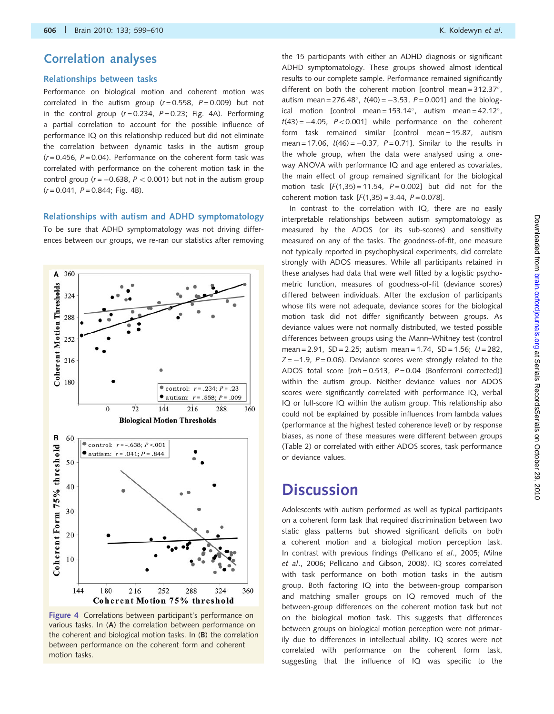## Correlation analyses

### Relationships between tasks

Performance on biological motion and coherent motion was correlated in the autism group  $(r=0.558, P=0.009)$  but not in the control group ( $r = 0.234$ ,  $P = 0.23$ ; Fig. 4A). Performing a partial correlation to account for the possible influence of performance IQ on this relationship reduced but did not eliminate the correlation between dynamic tasks in the autism group  $(r=0.456, P=0.04)$ . Performance on the coherent form task was correlated with performance on the coherent motion task in the control group ( $r = -0.638$ ,  $P < 0.001$ ) but not in the autism group  $(r = 0.041, P = 0.844; Fig. 4B).$ 

#### Relationships with autism and ADHD symptomatology

To be sure that ADHD symptomatology was not driving differences between our groups, we re-ran our statistics after removing



Figure 4 Correlations between participant's performance on various tasks. In (A) the correlation between performance on the coherent and biological motion tasks. In (B) the correlation between performance on the coherent form and coherent motion tasks.

the 15 participants with either an ADHD diagnosis or significant ADHD symptomatology. These groups showed almost identical results to our complete sample. Performance remained significantly different on both the coherent motion [control mean =  $312.37^{\circ}$ , autism mean =  $276.48^{\circ}$ ,  $t(40) = -3.53$ ,  $P = 0.001$ ] and the biological motion [control mean = 153.14 $^{\circ}$ , autism mean = 42.12 $^{\circ}$ ,  $t(43) = -4.05$ ,  $P < 0.001$ ] while performance on the coherent form task remained similar [control mean = 15.87, autism  $mean = 17.06$ ,  $t(46) = -0.37$ ,  $P = 0.71$ ]. Similar to the results in the whole group, when the data were analysed using a oneway ANOVA with performance IQ and age entered as covariates, the main effect of group remained significant for the biological motion task  $[F(1,35) = 11.54, P = 0.002]$  but did not for the coherent motion task  $[F(1,35) = 3.44, P = 0.078]$ .

In contrast to the correlation with IQ, there are no easily interpretable relationships between autism symptomatology as measured by the ADOS (or its sub-scores) and sensitivity measured on any of the tasks. The goodness-of-fit, one measure not typically reported in psychophysical experiments, did correlate strongly with ADOS measures. While all participants retained in these analyses had data that were well fitted by a logistic psychometric function, measures of goodness-of-fit (deviance scores) differed between individuals. After the exclusion of participants whose fits were not adequate, deviance scores for the biological motion task did not differ significantly between groups. As deviance values were not normally distributed, we tested possible differences between groups using the Mann–Whitney test (control mean =  $2.91$ , SD =  $2.25$ ; autism mean =  $1.74$ , SD =  $1.56$ ; U =  $282$ ,  $Z = -1.9$ ,  $P = 0.06$ ). Deviance scores were strongly related to the ADOS total score  $[roh = 0.513, P = 0.04$  (Bonferroni corrected)] within the autism group. Neither deviance values nor ADOS scores were significantly correlated with performance IQ, verbal IQ or full-score IQ within the autism group. This relationship also could not be explained by possible influences from lambda values (performance at the highest tested coherence level) or by response biases, as none of these measures were different between groups (Table 2) or correlated with either ADOS scores, task performance or deviance values.

## **Discussion**

Adolescents with autism performed as well as typical participants on a coherent form task that required discrimination between two static glass patterns but showed significant deficits on both a coherent motion and a biological motion perception task. In contrast with previous findings (Pellicano et al., 2005; Milne et al., 2006; Pellicano and Gibson, 2008), IQ scores correlated with task performance on both motion tasks in the autism group. Both factoring IQ into the between-group comparison and matching smaller groups on IQ removed much of the between-group differences on the coherent motion task but not on the biological motion task. This suggests that differences between groups on biological motion perception were not primarily due to differences in intellectual ability. IQ scores were not correlated with performance on the coherent form task, suggesting that the influence of IQ was specific to the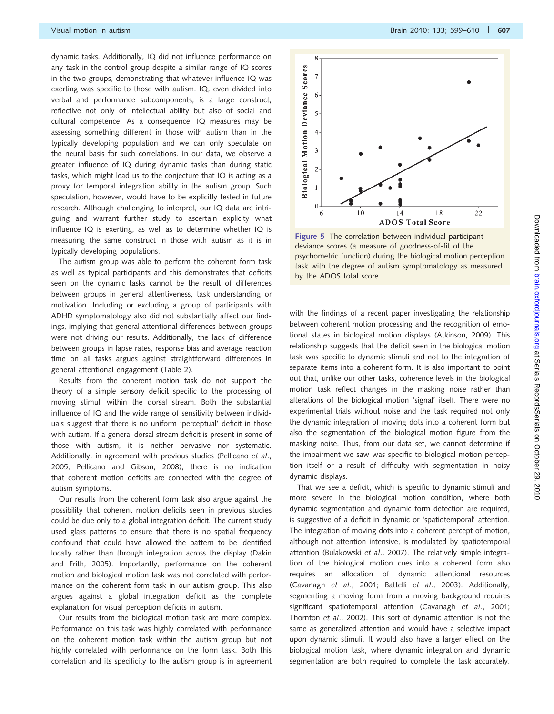dynamic tasks. Additionally, IQ did not influence performance on any task in the control group despite a similar range of IQ scores in the two groups, demonstrating that whatever influence IQ was exerting was specific to those with autism. IQ, even divided into verbal and performance subcomponents, is a large construct, reflective not only of intellectual ability but also of social and cultural competence. As a consequence, IQ measures may be assessing something different in those with autism than in the typically developing population and we can only speculate on the neural basis for such correlations. In our data, we observe a greater influence of IQ during dynamic tasks than during static tasks, which might lead us to the conjecture that IQ is acting as a proxy for temporal integration ability in the autism group. Such speculation, however, would have to be explicitly tested in future research. Although challenging to interpret, our IQ data are intriguing and warrant further study to ascertain explicity what influence IQ is exerting, as well as to determine whether IQ is measuring the same construct in those with autism as it is in typically developing populations.

The autism group was able to perform the coherent form task as well as typical participants and this demonstrates that deficits seen on the dynamic tasks cannot be the result of differences between groups in general attentiveness, task understanding or motivation. Including or excluding a group of participants with ADHD symptomatology also did not substantially affect our findings, implying that general attentional differences between groups were not driving our results. Additionally, the lack of difference between groups in lapse rates, response bias and average reaction time on all tasks argues against straightforward differences in general attentional engagement (Table 2).

Results from the coherent motion task do not support the theory of a simple sensory deficit specific to the processing of moving stimuli within the dorsal stream. Both the substantial influence of IQ and the wide range of sensitivity between individuals suggest that there is no uniform 'perceptual' deficit in those with autism. If a general dorsal stream deficit is present in some of those with autism, it is neither pervasive nor systematic. Additionally, in agreement with previous studies (Pellicano et al., 2005; Pellicano and Gibson, 2008), there is no indication that coherent motion deficits are connected with the degree of autism symptoms.

Our results from the coherent form task also argue against the possibility that coherent motion deficits seen in previous studies could be due only to a global integration deficit. The current study used glass patterns to ensure that there is no spatial frequency confound that could have allowed the pattern to be identified locally rather than through integration across the display (Dakin and Frith, 2005). Importantly, performance on the coherent motion and biological motion task was not correlated with performance on the coherent form task in our autism group. This also argues against a global integration deficit as the complete explanation for visual perception deficits in autism.

Our results from the biological motion task are more complex. Performance on this task was highly correlated with performance on the coherent motion task within the autism group but not highly correlated with performance on the form task. Both this correlation and its specificity to the autism group is in agreement



Figure 5 The correlation between individual participant deviance scores (a measure of goodness-of-fit of the psychometric function) during the biological motion perception task with the degree of autism symptomatology as measured by the ADOS total score.

with the findings of a recent paper investigating the relationship between coherent motion processing and the recognition of emotional states in biological motion displays (Atkinson, 2009). This relationship suggests that the deficit seen in the biological motion task was specific to dynamic stimuli and not to the integration of separate items into a coherent form. It is also important to point out that, unlike our other tasks, coherence levels in the biological motion task reflect changes in the masking noise rather than alterations of the biological motion 'signal' itself. There were no experimental trials without noise and the task required not only the dynamic integration of moving dots into a coherent form but also the segmentation of the biological motion figure from the masking noise. Thus, from our data set, we cannot determine if the impairment we saw was specific to biological motion perception itself or a result of difficulty with segmentation in noisy dynamic displays.

That we see a deficit, which is specific to dynamic stimuli and more severe in the biological motion condition, where both dynamic segmentation and dynamic form detection are required, is suggestive of a deficit in dynamic or 'spatiotemporal' attention. The integration of moving dots into a coherent percept of motion, although not attention intensive, is modulated by spatiotemporal attention (Bulakowski et al., 2007). The relatively simple integration of the biological motion cues into a coherent form also requires an allocation of dynamic attentional resources (Cavanagh et al., 2001; Battelli et al., 2003). Additionally, segmenting a moving form from a moving background requires significant spatiotemporal attention (Cavanagh et al., 2001; Thornton et al., 2002). This sort of dynamic attention is not the same as generalized attention and would have a selective impact upon dynamic stimuli. It would also have a larger effect on the biological motion task, where dynamic integration and dynamic segmentation are both required to complete the task accurately.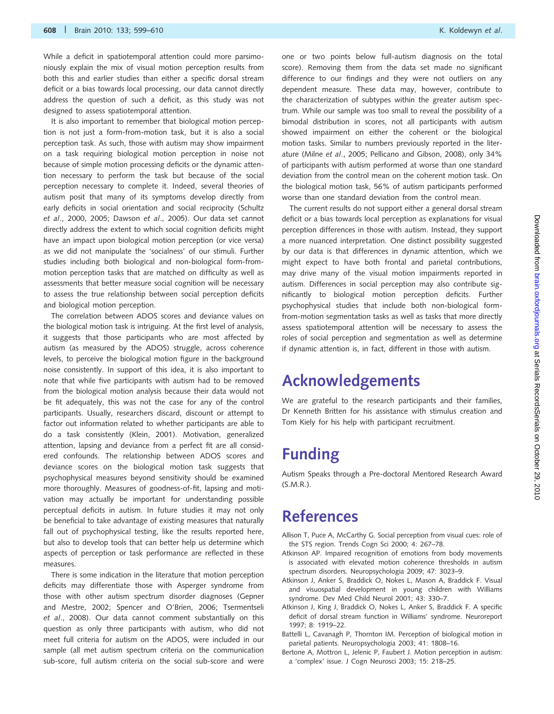While a deficit in spatiotemporal attention could more parsimoniously explain the mix of visual motion perception results from both this and earlier studies than either a specific dorsal stream deficit or a bias towards local processing, our data cannot directly address the question of such a deficit, as this study was not designed to assess spatiotemporal attention.

It is also important to remember that biological motion perception is not just a form-from-motion task, but it is also a social perception task. As such, those with autism may show impairment on a task requiring biological motion perception in noise not because of simple motion processing deficits or the dynamic attention necessary to perform the task but because of the social perception necessary to complete it. Indeed, several theories of autism posit that many of its symptoms develop directly from early deficits in social orientation and social reciprocity (Schultz et al., 2000, 2005; Dawson et al., 2005). Our data set cannot directly address the extent to which social cognition deficits might have an impact upon biological motion perception (or vice versa) as we did not manipulate the 'socialness' of our stimuli. Further studies including both biological and non-biological form-frommotion perception tasks that are matched on difficulty as well as assessments that better measure social cognition will be necessary to assess the true relationship between social perception deficits and biological motion perception.

The correlation between ADOS scores and deviance values on the biological motion task is intriguing. At the first level of analysis, it suggests that those participants who are most affected by autism (as measured by the ADOS) struggle, across coherence levels, to perceive the biological motion figure in the background noise consistently. In support of this idea, it is also important to note that while five participants with autism had to be removed from the biological motion analysis because their data would not be fit adequately, this was not the case for any of the control participants. Usually, researchers discard, discount or attempt to factor out information related to whether participants are able to do a task consistently (Klein, 2001). Motivation, generalized attention, lapsing and deviance from a perfect fit are all considered confounds. The relationship between ADOS scores and deviance scores on the biological motion task suggests that psychophysical measures beyond sensitivity should be examined more thoroughly. Measures of goodness-of-fit, lapsing and motivation may actually be important for understanding possible perceptual deficits in autism. In future studies it may not only be beneficial to take advantage of existing measures that naturally fall out of psychophysical testing, like the results reported here, but also to develop tools that can better help us determine which aspects of perception or task performance are reflected in these measures.

There is some indication in the literature that motion perception deficits may differentiate those with Asperger syndrome from those with other autism spectrum disorder diagnoses (Gepner and Mestre, 2002; Spencer and O'Brien, 2006; Tsermentseli et al., 2008). Our data cannot comment substantially on this question as only three participants with autism, who did not meet full criteria for autism on the ADOS, were included in our sample (all met autism spectrum criteria on the communication sub-score, full autism criteria on the social sub-score and were

one or two points below full-autism diagnosis on the total score). Removing them from the data set made no significant difference to our findings and they were not outliers on any dependent measure. These data may, however, contribute to the characterization of subtypes within the greater autism spectrum. While our sample was too small to reveal the possibility of a bimodal distribution in scores, not all participants with autism showed impairment on either the coherent or the biological motion tasks. Similar to numbers previously reported in the literature (Milne et al., 2005; Pellicano and Gibson, 2008), only 34% of participants with autism performed at worse than one standard deviation from the control mean on the coherent motion task. On the biological motion task, 56% of autism participants performed worse than one standard deviation from the control mean.

The current results do not support either a general dorsal stream deficit or a bias towards local perception as explanations for visual perception differences in those with autism. Instead, they support a more nuanced interpretation. One distinct possibility suggested by our data is that differences in dynamic attention, which we might expect to have both frontal and parietal contributions, may drive many of the visual motion impairments reported in autism. Differences in social perception may also contribute significantly to biological motion perception deficits. Further psychophysical studies that include both non-biological formfrom-motion segmentation tasks as well as tasks that more directly assess spatiotemporal attention will be necessary to assess the roles of social perception and segmentation as well as determine if dynamic attention is, in fact, different in those with autism.

## Acknowledgements

We are grateful to the research participants and their families, Dr Kenneth Britten for his assistance with stimulus creation and Tom Kiely for his help with participant recruitment.

## **Funding**

Autism Speaks through a Pre-doctoral Mentored Research Award (S.M.R.).

## References

- Allison T, Puce A, McCarthy G. Social perception from visual cues: role of the STS region. Trends Cogn Sci 2000; 4: 267–78.
- Atkinson AP. Impaired recognition of emotions from body movements is associated with elevated motion coherence thresholds in autism spectrum disorders. Neuropsychologia 2009; 47: 3023–9.
- Atkinson J, Anker S, Braddick O, Nokes L, Mason A, Braddick F. Visual and visuospatial development in young children with Williams syndrome. Dev Med Child Neurol 2001; 43: 330–7.
- Atkinson J, King J, Braddick O, Nokes L, Anker S, Braddick F. A specific deficit of dorsal stream function in Williams' syndrome. Neuroreport 1997; 8: 1919–22.
- Battelli L, Cavanagh P, Thornton IM. Perception of biological motion in parietal patients. Neuropsychologia 2003; 41: 1808–16.
- Bertone A, Mottron L, Jelenic P, Faubert J. Motion perception in autism: a 'complex' issue. J Cogn Neurosci 2003; 15: 218–25.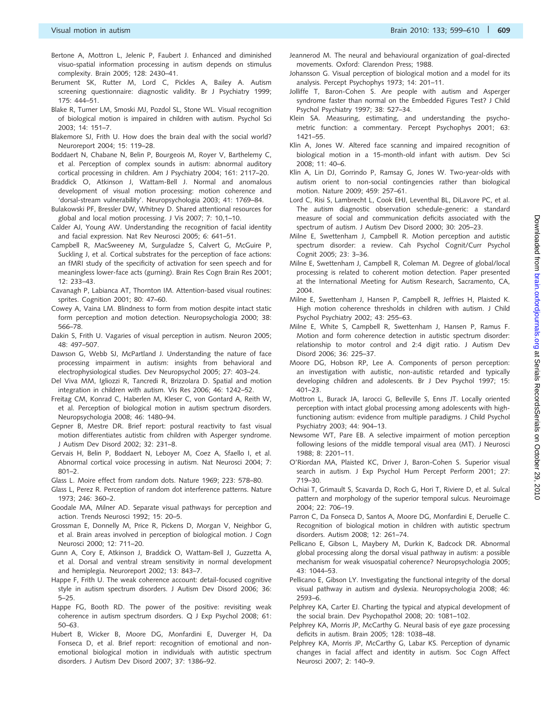- Bertone A, Mottron L, Jelenic P, Faubert J. Enhanced and diminished visuo-spatial information processing in autism depends on stimulus complexity. Brain 2005; 128: 2430–41.
- Berument SK, Rutter M, Lord C, Pickles A, Bailey A. Autism screening questionnaire: diagnostic validity. Br J Psychiatry 1999; 175: 444–51.
- Blake R, Turner LM, Smoski MJ, Pozdol SL, Stone WL. Visual recognition of biological motion is impaired in children with autism. Psychol Sci 2003; 14: 151–7.
- Blakemore SJ, Frith U. How does the brain deal with the social world? Neuroreport 2004; 15: 119–28.
- Boddaert N, Chabane N, Belin P, Bourgeois M, Royer V, Barthelemy C, et al. Perception of complex sounds in autism: abnormal auditory cortical processing in children. Am J Psychiatry 2004; 161: 2117–20.
- Braddick O, Atkinson J, Wattam-Bell J. Normal and anomalous development of visual motion processing: motion coherence and 'dorsal-stream vulnerability'. Neuropsychologia 2003; 41: 1769–84.
- Bulakowski PF, Bressler DW, Whitney D. Shared attentional resources for global and local motion processing. J Vis 2007; 7: 10,1–10.
- Calder AJ, Young AW. Understanding the recognition of facial identity and facial expression. Nat Rev Neurosci 2005; 6: 641–51.
- Campbell R, MacSweeney M, Surguladze S, Calvert G, McGuire P, Suckling J, et al. Cortical substrates for the perception of face actions: an fMRI study of the specificity of activation for seen speech and for meaningless lower-face acts (gurning). Brain Res Cogn Brain Res 2001; 12: 233–43.
- Cavanagh P, Labianca AT, Thornton IM. Attention-based visual routines: sprites. Cognition 2001; 80: 47–60.
- Cowey A, Vaina LM. Blindness to form from motion despite intact static form perception and motion detection. Neuropsychologia 2000; 38: 566–78.
- Dakin S, Frith U. Vagaries of visual perception in autism. Neuron 2005; 48: 497–507.
- Dawson G, Webb SJ, McPartland J. Understanding the nature of face processing impairment in autism: insights from behavioral and electrophysiological studies. Dev Neuropsychol 2005; 27: 403–24.
- Del Viva MM, Igliozzi R, Tancredi R, Brizzolara D. Spatial and motion integration in children with autism. Vis Res 2006; 46: 1242–52.
- Freitag CM, Konrad C, Haberlen M, Kleser C, von Gontard A, Reith W, et al. Perception of biological motion in autism spectrum disorders. Neuropsychologia 2008; 46: 1480–94.
- Gepner B, Mestre DR. Brief report: postural reactivity to fast visual motion differentiates autistic from children with Asperger syndrome. J Autism Dev Disord 2002; 32: 231–8.
- Gervais H, Belin P, Boddaert N, Leboyer M, Coez A, Sfaello I, et al. Abnormal cortical voice processing in autism. Nat Neurosci 2004; 7: 801–2.
- Glass L. Moire effect from random dots. Nature 1969; 223: 578–80.
- Glass L, Perez R. Perception of random dot interference patterns. Nature 1973; 246: 360–2.
- Goodale MA, Milner AD. Separate visual pathways for perception and action. Trends Neurosci 1992; 15: 20–5.
- Grossman E, Donnelly M, Price R, Pickens D, Morgan V, Neighbor G, et al. Brain areas involved in perception of biological motion. J Cogn Neurosci 2000; 12: 711–20.
- Gunn A, Cory E, Atkinson J, Braddick O, Wattam-Bell J, Guzzetta A, et al. Dorsal and ventral stream sensitivity in normal development and hemiplegia. Neuroreport 2002; 13: 843–7.
- Happe F, Frith U. The weak coherence account: detail-focused cognitive style in autism spectrum disorders. J Autism Dev Disord 2006; 36: 5–25.
- Happe FG, Booth RD. The power of the positive: revisiting weak coherence in autism spectrum disorders. Q J Exp Psychol 2008; 61: 50–63.
- Hubert B, Wicker B, Moore DG, Monfardini E, Duverger H, Da Fonseca D, et al. Brief report: recognition of emotional and nonemotional biological motion in individuals with autistic spectrum disorders. J Autism Dev Disord 2007; 37: 1386–92.
- Jeannerod M. The neural and behavioural organization of goal-directed movements. Oxford: Clarendon Press; 1988.
- Johansson G. Visual perception of biological motion and a model for its analysis. Percept Psychophys 1973; 14: 201–11.
- Jolliffe T, Baron-Cohen S. Are people with autism and Asperger syndrome faster than normal on the Embedded Figures Test? J Child Psychol Psychiatry 1997; 38: 527–34.
- Klein SA. Measuring, estimating, and understanding the psychometric function: a commentary. Percept Psychophys 2001; 63: 1421–55.
- Klin A, Jones W. Altered face scanning and impaired recognition of biological motion in a 15-month-old infant with autism. Dev Sci 2008; 11: 40–6.
- Klin A, Lin DJ, Gorrindo P, Ramsay G, Jones W. Two-year-olds with autism orient to non-social contingencies rather than biological motion. Nature 2009; 459: 257–61.
- Lord C, Risi S, Lambrecht L, Cook EHJ, Leventhal BL, DiLavore PC, et al. The autism diagnostic observation schedule-generic: a standard measure of social and communication deficits associated with the spectrum of autism. J Autism Dev Disord 2000; 30: 205–23.
- Milne E, Swettenham J, Campbell R. Motion perception and autistic spectrum disorder: a review. Cah Psychol Cognit/Curr Psychol Cognit 2005; 23: 3–36.
- Milne E, Swettenham J, Campbell R, Coleman M. Degree of global/local processing is related to coherent motion detection. Paper presented at the International Meeting for Autism Research, Sacramento, CA, 2004.
- Milne E, Swettenham J, Hansen P, Campbell R, Jeffries H, Plaisted K. High motion coherence thresholds in children with autism. J Child Psychol Psychiatry 2002; 43: 255–63.
- Milne E, White S, Campbell R, Swettenham J, Hansen P, Ramus F. Motion and form coherence detection in autistic spectrum disorder: relationship to motor control and 2:4 digit ratio. J Autism Dev Disord 2006; 36: 225–37.
- Moore DG, Hobson RP, Lee A. Components of person perception: an investigation with autistic, non-autistic retarded and typically developing children and adolescents. Br J Dev Psychol 1997; 15: 401–23.
- Mottron L, Burack JA, Iarocci G, Belleville S, Enns JT. Locally oriented perception with intact global processing among adolescents with highfunctioning autism: evidence from multiple paradigms. J Child Psychol Psychiatry 2003; 44: 904–13.
- Newsome WT, Pare EB. A selective impairment of motion perception following lesions of the middle temporal visual area (MT). J Neurosci 1988; 8: 2201–11.
- O'Riordan MA, Plaisted KC, Driver J, Baron-Cohen S. Superior visual search in autism. J Exp Psychol Hum Percept Perform 2001; 27: 719–30.
- Ochiai T, Grimault S, Scavarda D, Roch G, Hori T, Riviere D, et al. Sulcal pattern and morphology of the superior temporal sulcus. Neuroimage 2004; 22: 706–19.
- Parron C, Da Fonseca D, Santos A, Moore DG, Monfardini E, Deruelle C. Recognition of biological motion in children with autistic spectrum disorders. Autism 2008; 12: 261–74.
- Pellicano E, Gibson L, Maybery M, Durkin K, Badcock DR. Abnormal global processing along the dorsal visual pathway in autism: a possible mechanism for weak visuospatial coherence? Neuropsychologia 2005; 43: 1044–53.
- Pellicano E, Gibson LY. Investigating the functional integrity of the dorsal visual pathway in autism and dyslexia. Neuropsychologia 2008; 46: 2593–6.
- Pelphrey KA, Carter EJ. Charting the typical and atypical development of the social brain. Dev Psychopathol 2008; 20: 1081–102.
- Pelphrey KA, Morris JP, McCarthy G. Neural basis of eye gaze processing deficits in autism. Brain 2005; 128: 1038–48.
- Pelphrey KA, Morris JP, McCarthy G, Labar KS. Perception of dynamic changes in facial affect and identity in autism. Soc Cogn Affect Neurosci 2007; 2: 140–9.